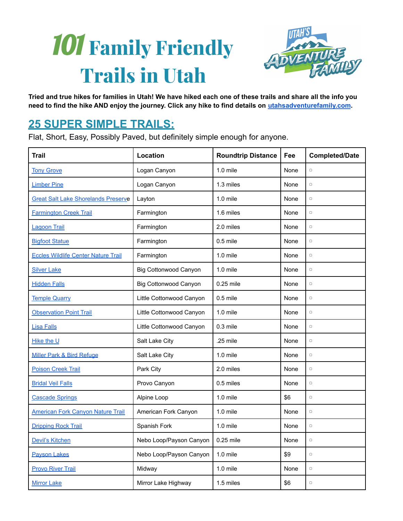# 101 **Family Friendly Trails in Utah**



Tried and true hikes for families in Utah! We have hiked each one of these trails and share all the info you need to find the hike AND enjoy the journey. Click any hike to find details on [utahsadventurefamily.com](https://utahsadventurefamily.com/).

#### **25 SUPER SIMPLE TRAILS:**

Flat, Short, Easy, Possibly Paved, but definitely simple enough for anyone.

| <b>Trail</b>                               | Location                     | <b>Roundtrip Distance</b> | Fee  | <b>Completed/Date</b> |
|--------------------------------------------|------------------------------|---------------------------|------|-----------------------|
| <b>Tony Grove</b>                          | Logan Canyon                 | $1.0$ mile                | None |                       |
| <b>Limber Pine</b>                         | Logan Canyon                 | 1.3 miles                 | None |                       |
| <b>Great Salt Lake Shorelands Preserve</b> | Layton                       | $1.0$ mile                | None |                       |
| <b>Farmington Creek Trail</b>              | Farmington                   | 1.6 miles                 | None | $\hfill \Box$         |
| <b>Lagoon Trail</b>                        | Farmington                   | 2.0 miles                 | None |                       |
| <b>Bigfoot Statue</b>                      | Farmington                   | $0.5$ mile                | None | $\hfill \Box$         |
| <b>Eccles Wildlife Center Nature Trail</b> | Farmington                   | 1.0 mile                  | None | $\Box$                |
| <b>Silver Lake</b>                         | <b>Big Cottonwood Canyon</b> | $1.0$ mile                | None | $\hfill \Box$         |
| <b>Hidden Falls</b>                        | <b>Big Cottonwood Canyon</b> | 0.25 mile                 | None | $\hfill \Box$         |
| <b>Temple Quarry</b>                       | Little Cottonwood Canyon     | $0.5$ mile                | None | $\hfill \Box$         |
| <b>Observation Point Trail</b>             | Little Cottonwood Canyon     | $1.0$ mile                | None | $\hfill \Box$         |
| <b>Lisa Falls</b>                          | Little Cottonwood Canyon     | 0.3 mile                  | None | $\Box$                |
| Hike the U                                 | Salt Lake City               | .25 mile                  | None | $\Box$                |
| Miller Park & Bird Refuge                  | Salt Lake City               | 1.0 mile                  | None | $\Box$                |
| <b>Poison Creek Trail</b>                  | Park City                    | 2.0 miles                 | None | $\Box$                |
| <b>Bridal Veil Falls</b>                   | Provo Canyon                 | 0.5 miles                 | None | $\hfill \Box$         |
| <b>Cascade Springs</b>                     | Alpine Loop                  | $1.0$ mile                | \$6  | $\Box$                |
| <b>American Fork Canyon Nature Trail</b>   | American Fork Canyon         | $1.0$ mile                | None | $\Box$                |
| <b>Dripping Rock Trail</b>                 | Spanish Fork                 | 1.0 mile                  | None | $\Box$                |
| <b>Devil's Kitchen</b>                     | Nebo Loop/Payson Canyon      | 0.25 mile                 | None | $\Box$                |
| <b>Payson Lakes</b>                        | Nebo Loop/Payson Canyon      | 1.0 mile                  | \$9  | $\hfill \Box$         |
| <b>Provo River Trail</b>                   | Midway                       | 1.0 mile                  | None | $\Box$                |
| <b>Mirror Lake</b>                         | Mirror Lake Highway          | 1.5 miles                 | \$6  | $\Box$                |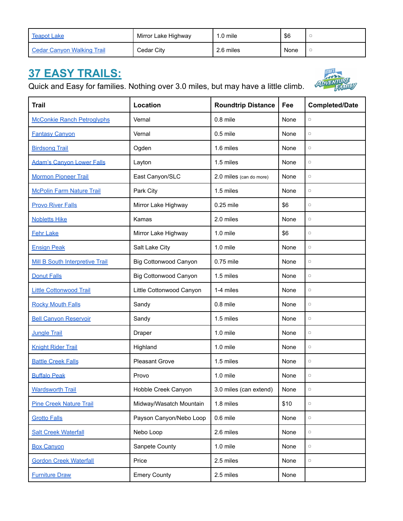| <b>Teapot Lake</b>         | Mirror Lake Highway | $1.0$ mile | \$6  |  |
|----------------------------|---------------------|------------|------|--|
| Cedar Canyon Walking Trail | Cedar City          | 2.6 miles  | None |  |

### **37 EASY TRAILS:**

Quick and Easy for families. Nothing over 3.0 miles, but may have a little climb.



| <b>Trail</b>                      | Location                     | <b>Roundtrip Distance</b> | Fee  | <b>Completed/Date</b>           |
|-----------------------------------|------------------------------|---------------------------|------|---------------------------------|
| <b>McConkie Ranch Petroglyphs</b> | Vernal                       | $0.8$ mile                | None | $\hfill \Box$                   |
| <b>Fantasy Canyon</b>             | Vernal                       | $0.5$ mile                | None | $\hfill \Box$                   |
| <b>Birdsong Trail</b>             | Ogden                        | 1.6 miles                 | None | $\hfill \Box$                   |
| <b>Adam's Canyon Lower Falls</b>  | Layton                       | 1.5 miles                 | None | $\hfill\ensuremath{\mathsf{O}}$ |
| <b>Mormon Pioneer Trail</b>       | East Canyon/SLC              | 2.0 miles (can do more)   | None | $\hfill \Box$                   |
| <b>McPolin Farm Nature Trail</b>  | Park City                    | 1.5 miles                 | None | $\hfill \Box$                   |
| <b>Provo River Falls</b>          | Mirror Lake Highway          | 0.25 mile                 | \$6  | $\hfill \Box$                   |
| <b>Nobletts Hike</b>              | Kamas                        | 2.0 miles                 | None | $\hfill \Box$                   |
| <b>Fehr Lake</b>                  | Mirror Lake Highway          | $1.0$ mile                | \$6  | $\hfill \Box$                   |
| <b>Ensign Peak</b>                | Salt Lake City               | $1.0$ mile                | None | $\hfill \square$                |
| Mill B South Interpretive Trail   | <b>Big Cottonwood Canyon</b> | 0.75 mile                 | None | $\hfill \Box$                   |
| <b>Donut Falls</b>                | <b>Big Cottonwood Canyon</b> | 1.5 miles                 | None | $\hfill \Box$                   |
| <b>Little Cottonwood Trail</b>    | Little Cottonwood Canyon     | 1-4 miles                 | None | $\hfill \Box$                   |
| <b>Rocky Mouth Falls</b>          | Sandy                        | $0.8$ mile                | None | $\hfill \Box$                   |
| <b>Bell Canyon Reservoir</b>      | Sandy                        | 1.5 miles                 | None | $\hfill \Box$                   |
| <b>Jungle Trail</b>               | Draper                       | 1.0 mile                  | None | $\hfill \Box$                   |
| <b>Knight Rider Trail</b>         | Highland                     | $1.0$ mile                | None | $\hfill \Box$                   |
| <b>Battle Creek Falls</b>         | <b>Pleasant Grove</b>        | 1.5 miles                 | None | $\hfill \Box$                   |
| <b>Buffalo Peak</b>               | Provo                        | $1.0$ mile                | None | $\hfill \Box$                   |
| <b>Wardsworth Trail</b>           | Hobble Creek Canyon          | 3.0 miles (can extend)    | None | $\hfill \square$                |
| <b>Pine Creek Nature Trail</b>    | Midway/Wasatch Mountain      | 1.8 miles                 | \$10 | $\hfill \Box$                   |
| <b>Grotto Falls</b>               | Payson Canyon/Nebo Loop      | 0.6 mile                  | None | $\hfill \Box$                   |
| <b>Salt Creek Waterfall</b>       | Nebo Loop                    | 2.6 miles                 | None | $\hfill \Box$                   |
| <b>Box Canyon</b>                 | Sanpete County               | 1.0 mile                  | None | $\hfill \square$                |
| <b>Gordon Creek Waterfall</b>     | Price                        | 2.5 miles                 | None | $\hfill \square$                |
| <b>Furniture Draw</b>             | <b>Emery County</b>          | 2.5 miles                 | None |                                 |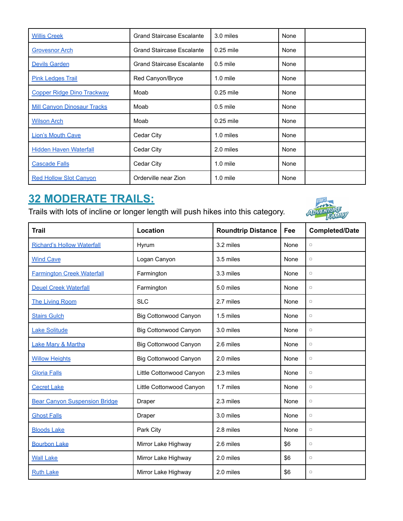| <b>Willis Creek</b>                | <b>Grand Staircase Escalante</b> | 3.0 miles   | None |
|------------------------------------|----------------------------------|-------------|------|
| <b>Grovesnor Arch</b>              | <b>Grand Staircase Escalante</b> | $0.25$ mile | None |
| <b>Devils Garden</b>               | <b>Grand Staircase Escalante</b> | $0.5$ mile  | None |
| <b>Pink Ledges Trail</b>           | Red Canyon/Bryce                 | $1.0$ mile  | None |
| <b>Copper Ridge Dino Trackway</b>  | Moab                             | $0.25$ mile | None |
| <b>Mill Canvon Dinosaur Tracks</b> | Moab                             | $0.5$ mile  | None |
| <b>Wilson Arch</b>                 | Moab                             | $0.25$ mile | None |
| <b>Lion's Mouth Cave</b>           | Cedar City                       | 1.0 miles   | None |
| <b>Hidden Haven Waterfall</b>      | Cedar City                       | 2.0 miles   | None |
| <b>Cascade Falls</b>               | Cedar City                       | $1.0$ mile  | None |
| <b>Red Hollow Slot Canyon</b>      | Orderville near Zion             | $1.0$ mile  | None |

## **32 MODERATE TRAILS:**

Trails with lots of incline or longer length will push hikes into this category.



| <b>Trail</b>                         | Location                     | <b>Roundtrip Distance</b> | Fee  | <b>Completed/Date</b> |
|--------------------------------------|------------------------------|---------------------------|------|-----------------------|
| <b>Richard's Hollow Waterfall</b>    | Hyrum                        | 3.2 miles                 | None | $\Box$                |
| <b>Wind Cave</b>                     | Logan Canyon                 | 3.5 miles                 | None | $\Box$                |
| <b>Farmington Creek Waterfall</b>    | Farmington                   | 3.3 miles                 | None | $\Box$                |
| <b>Deuel Creek Waterfall</b>         | Farmington                   | 5.0 miles                 | None | $\Box$                |
| <b>The Living Room</b>               | <b>SLC</b>                   | 2.7 miles                 | None | $\Box$                |
| <b>Stairs Gulch</b>                  | <b>Big Cottonwood Canyon</b> | 1.5 miles                 | None | $\Box$                |
| Lake Solitude                        | <b>Big Cottonwood Canyon</b> | 3.0 miles                 | None | $\Box$                |
| Lake Mary & Martha                   | <b>Big Cottonwood Canyon</b> | 2.6 miles                 | None | $\Box$                |
| <b>Willow Heights</b>                | <b>Big Cottonwood Canyon</b> | 2.0 miles                 | None | $\Box$                |
| <b>Gloria Falls</b>                  | Little Cottonwood Canyon     | 2.3 miles                 | None | $\hfill \Box$         |
| <b>Cecret Lake</b>                   | Little Cottonwood Canyon     | 1.7 miles                 | None | $\Box$                |
| <b>Bear Canyon Suspension Bridge</b> | Draper                       | 2.3 miles                 | None | $\Box$                |
| <b>Ghost Falls</b>                   | Draper                       | 3.0 miles                 | None | $\Box$                |
| <b>Bloods Lake</b>                   | Park City                    | 2.8 miles                 | None | $\Box$                |
| <b>Bourbon Lake</b>                  | Mirror Lake Highway          | 2.6 miles                 | \$6  | $\Box$                |
| <b>Wall Lake</b>                     | Mirror Lake Highway          | 2.0 miles                 | \$6  | $\Box$                |
| <b>Ruth Lake</b>                     | Mirror Lake Highway          | 2.0 miles                 | \$6  | $\Box$                |